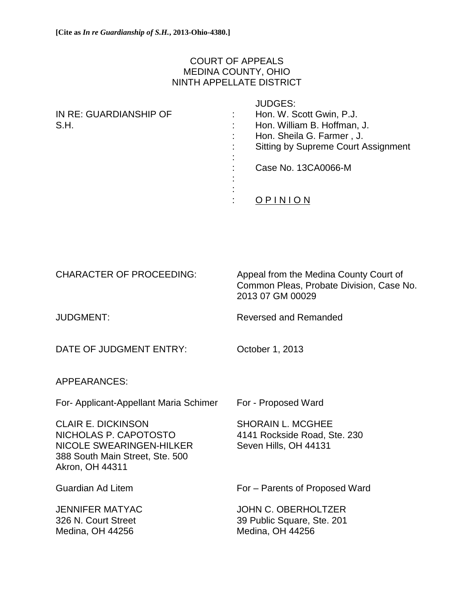# COURT OF APPEALS MEDINA COUNTY, OHIO NINTH APPELLATE DISTRICT

| IN RE: GUARDIANSHIP OF<br>S.H. | $\blacksquare$ | <b>JUDGES:</b><br>Hon. W. Scott Gwin, P.J.<br>Hon. William B. Hoffman, J.<br>Hon. Sheila G. Farmer, J.<br><b>Sitting by Supreme Court Assignment</b> |
|--------------------------------|----------------|------------------------------------------------------------------------------------------------------------------------------------------------------|
|                                |                | Case No. 13CA0066-M                                                                                                                                  |
|                                |                |                                                                                                                                                      |

| <b>CHARACTER OF PROCEEDING:</b>                                                                                                      | Appeal from the Medina County Court of<br>Common Pleas, Probate Division, Case No.<br>2013 07 GM 00029 |  |
|--------------------------------------------------------------------------------------------------------------------------------------|--------------------------------------------------------------------------------------------------------|--|
| <b>JUDGMENT:</b>                                                                                                                     | <b>Reversed and Remanded</b>                                                                           |  |
| DATE OF JUDGMENT ENTRY:                                                                                                              | October 1, 2013                                                                                        |  |
| <b>APPEARANCES:</b>                                                                                                                  |                                                                                                        |  |
| For- Applicant-Appellant Maria Schimer                                                                                               | For - Proposed Ward                                                                                    |  |
| <b>CLAIR E. DICKINSON</b><br>NICHOLAS P. CAPOTOSTO<br>NICOLE SWEARINGEN-HILKER<br>388 South Main Street, Ste. 500<br>Akron, OH 44311 | <b>SHORAIN L. MCGHEE</b><br>4141 Rockside Road, Ste. 230<br>Seven Hills, OH 44131                      |  |
| <b>Guardian Ad Litem</b>                                                                                                             | For – Parents of Proposed Ward                                                                         |  |
| <b>JENNIFER MATYAC</b><br>326 N. Court Street<br>Medina, OH 44256                                                                    | <b>JOHN C. OBERHOLTZER</b><br>39 Public Square, Ste. 201<br>Medina, OH 44256                           |  |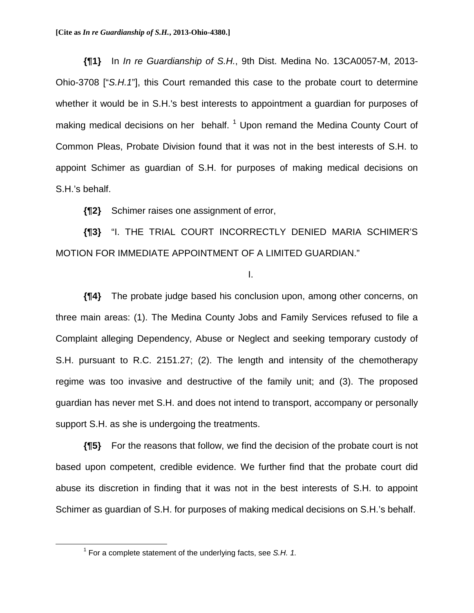**{¶1}** In *In re Guardianship of S.H.*, 9th Dist. Medina No. 13CA0057-M, 2013- Ohio-3708 ["*S.H.1*"], this Court remanded this case to the probate court to determine whether it would be in S.H.'s best interests to appointment a guardian for purposes of making medical decisions on her behalf.<sup>1</sup> Upon remand the Medina County Court of Common Pleas, Probate Division found that it was not in the best interests of S.H. to appoint Schimer as guardian of S.H. for purposes of making medical decisions on S.H.'s behalf.

**{¶2}** Schimer raises one assignment of error,

**{¶3}** "I. THE TRIAL COURT INCORRECTLY DENIED MARIA SCHIMER'S MOTION FOR IMMEDIATE APPOINTMENT OF A LIMITED GUARDIAN."

#### I.

**{¶4}** The probate judge based his conclusion upon, among other concerns, on three main areas: (1). The Medina County Jobs and Family Services refused to file a Complaint alleging Dependency, Abuse or Neglect and seeking temporary custody of S.H. pursuant to R.C. 2151.27; (2). The length and intensity of the chemotherapy regime was too invasive and destructive of the family unit; and (3). The proposed guardian has never met S.H. and does not intend to transport, accompany or personally support S.H. as she is undergoing the treatments.

**{¶5}** For the reasons that follow, we find the decision of the probate court is not based upon competent, credible evidence. We further find that the probate court did abuse its discretion in finding that it was not in the best interests of S.H. to appoint Schimer as guardian of S.H. for purposes of making medical decisions on S.H.'s behalf.

 $\overline{\phantom{a}}$  1 <sup>1</sup> For a complete statement of the underlying facts, see *S.H. 1.*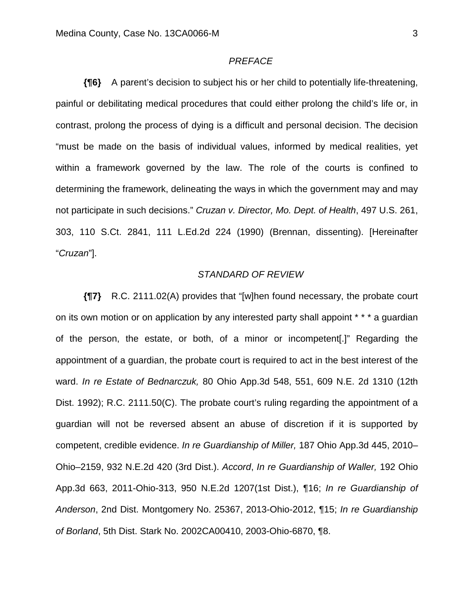#### *PREFACE*

**{¶6}** A parent's decision to subject his or her child to potentially life-threatening, painful or debilitating medical procedures that could either prolong the child's life or, in contrast, prolong the process of dying is a difficult and personal decision. The decision "must be made on the basis of individual values, informed by medical realities, yet within a framework governed by the law. The role of the courts is confined to determining the framework, delineating the ways in which the government may and may not participate in such decisions." *Cruzan v. Director, Mo. Dept. of Health*, 497 U.S. 261, 303, 110 S.Ct. 2841, 111 L.Ed.2d 224 (1990) (Brennan, dissenting). [Hereinafter "*Cruzan*"].

### *STANDARD OF REVIEW*

**{¶7}** R.C. 2111.02(A) provides that "[w]hen found necessary, the probate court on its own motion or on application by any interested party shall appoint \* \* \* a guardian of the person, the estate, or both, of a minor or incompetent[.]" Regarding the appointment of a guardian, the probate court is required to act in the best interest of the ward. *In re Estate of Bednarczuk,* 80 Ohio App.3d 548, 551, 609 N.E. 2d 1310 (12th Dist. 1992); R.C. 2111.50(C). The probate court's ruling regarding the appointment of a guardian will not be reversed absent an abuse of discretion if it is supported by competent, credible evidence. *In re Guardianship of Miller,* 187 Ohio App.3d 445, 2010– Ohio–2159, 932 N.E.2d 420 (3rd Dist.). *Accord*, *In re Guardianship of Waller,* 192 Ohio App.3d 663, 2011-Ohio-313, 950 N.E.2d 1207(1st Dist.), ¶16; *In re Guardianship of Anderson*, 2nd Dist. Montgomery No. 25367, 2013-Ohio-2012, ¶15; *In re Guardianship of Borland*, 5th Dist. Stark No. 2002CA00410, 2003-Ohio-6870, ¶8.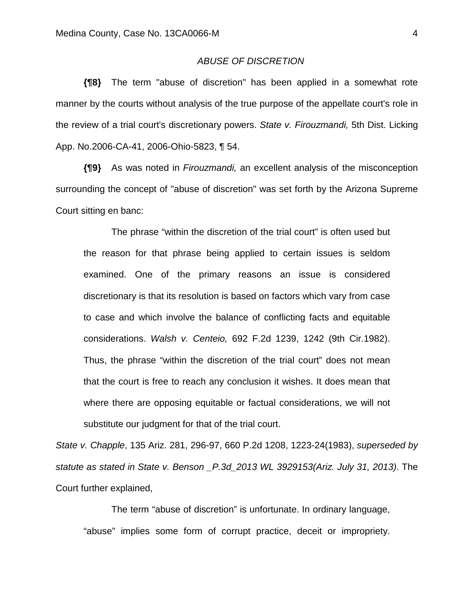### *ABUSE OF DISCRETION*

**{¶8}** The term "abuse of discretion" has been applied in a somewhat rote manner by the courts without analysis of the true purpose of the appellate court's role in the review of a trial court's discretionary powers. *State v. Firouzmandi,* 5th Dist. Licking App. No.2006-CA-41, 2006-Ohio-5823, ¶ 54.

**{¶9}** As was noted in *Firouzmandi,* an excellent analysis of the misconception surrounding the concept of "abuse of discretion" was set forth by the Arizona Supreme Court sitting en banc:

 The phrase "within the discretion of the trial court" is often used but the reason for that phrase being applied to certain issues is seldom examined. One of the primary reasons an issue is considered discretionary is that its resolution is based on factors which vary from case to case and which involve the balance of conflicting facts and equitable considerations. *Walsh v. Centeio,* 692 F.2d 1239, 1242 (9th Cir.1982). Thus, the phrase "within the discretion of the trial court" does not mean that the court is free to reach any conclusion it wishes. It does mean that where there are opposing equitable or factual considerations, we will not substitute our judgment for that of the trial court.

*State v. Chapple*, 135 Ariz. 281, 296-97, 660 P.2d 1208, 1223-24(1983), *superseded by statute as stated in State v. Benson \_P.3d\_2013 WL 3929153(Ariz. July 31, 2013)*. The Court further explained,

 The term "abuse of discretion" is unfortunate. In ordinary language, "abuse" implies some form of corrupt practice, deceit or impropriety.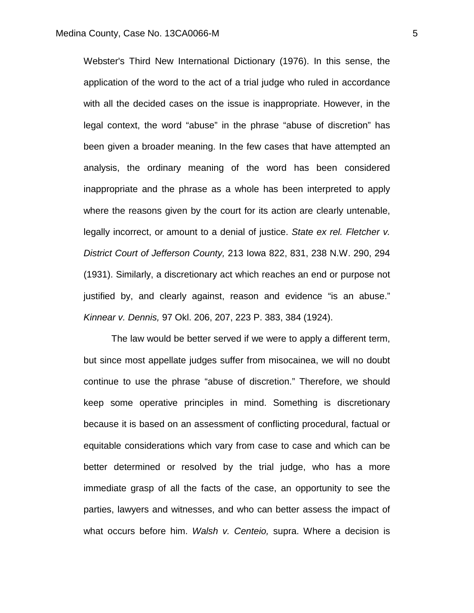Webster's Third New International Dictionary (1976). In this sense, the application of the word to the act of a trial judge who ruled in accordance with all the decided cases on the issue is inappropriate. However, in the legal context, the word "abuse" in the phrase "abuse of discretion" has been given a broader meaning. In the few cases that have attempted an analysis, the ordinary meaning of the word has been considered inappropriate and the phrase as a whole has been interpreted to apply where the reasons given by the court for its action are clearly untenable, legally incorrect, or amount to a denial of justice. *State ex rel. Fletcher v. District Court of Jefferson County,* 213 Iowa 822, 831, 238 N.W. 290, 294 (1931). Similarly, a discretionary act which reaches an end or purpose not justified by, and clearly against, reason and evidence "is an abuse." *Kinnear v. Dennis,* 97 Okl. 206, 207, 223 P. 383, 384 (1924).

 The law would be better served if we were to apply a different term, but since most appellate judges suffer from misocainea, we will no doubt continue to use the phrase "abuse of discretion." Therefore, we should keep some operative principles in mind. Something is discretionary because it is based on an assessment of conflicting procedural, factual or equitable considerations which vary from case to case and which can be better determined or resolved by the trial judge, who has a more immediate grasp of all the facts of the case, an opportunity to see the parties, lawyers and witnesses, and who can better assess the impact of what occurs before him. *Walsh v. Centeio,* supra. Where a decision is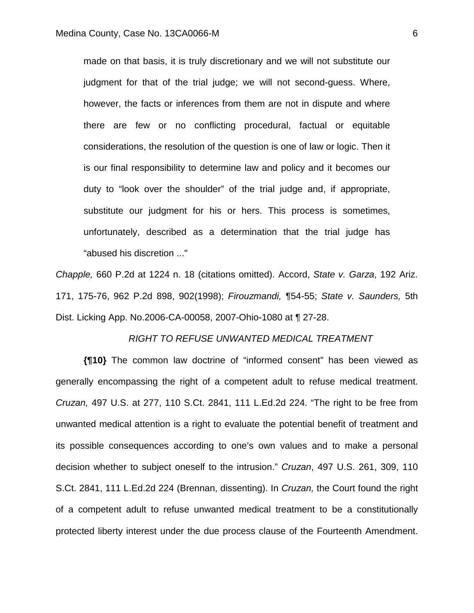made on that basis, it is truly discretionary and we will not substitute our judgment for that of the trial judge; we will not second-guess. Where, however, the facts or inferences from them are not in dispute and where there are few or no conflicting procedural, factual or equitable considerations, the resolution of the question is one of law or logic. Then it is our final responsibility to determine law and policy and it becomes our duty to "look over the shoulder" of the trial judge and, if appropriate, substitute our judgment for his or hers. This process is sometimes, unfortunately, described as a determination that the trial judge has "abused his discretion ..."

*Chapple,* 660 P.2d at 1224 n. 18 (citations omitted). Accord, *State v. Garza*, 192 Ariz. 171, 175-76, 962 P.2d 898, 902(1998); *Firouzmandi,* ¶54-55; *State v. Saunders,* 5th Dist. Licking App. No.2006-CA-00058, 2007-Ohio-1080 at ¶ 27-28.

#### *RIGHT TO REFUSE UNWANTED MEDICAL TREATMENT*

**{¶10}** The common law doctrine of "informed consent" has been viewed as generally encompassing the right of a competent adult to refuse medical treatment. *Cruzan,* 497 U.S. at 277, 110 S.Ct. 2841, 111 L.Ed.2d 224. "The right to be free from unwanted medical attention is a right to evaluate the potential benefit of treatment and its possible consequences according to one's own values and to make a personal decision whether to subject oneself to the intrusion." *Cruzan*, 497 U.S. 261, 309, 110 S.Ct. 2841, 111 L.Ed.2d 224 (Brennan, dissenting). In *Cruzan,* the Court found the right of a competent adult to refuse unwanted medical treatment to be a constitutionally protected liberty interest under the due process clause of the Fourteenth Amendment.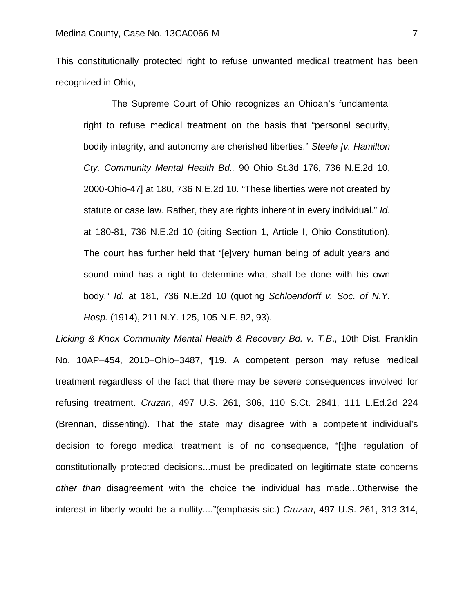This constitutionally protected right to refuse unwanted medical treatment has been recognized in Ohio,

 The Supreme Court of Ohio recognizes an Ohioan's fundamental right to refuse medical treatment on the basis that "personal security, bodily integrity, and autonomy are cherished liberties." *Steele [v. Hamilton Cty. Community Mental Health Bd.,* 90 Ohio St.3d 176, 736 N.E.2d 10, 2000-Ohio-47] at 180, 736 N.E.2d 10. "These liberties were not created by statute or case law. Rather, they are rights inherent in every individual." *Id.* at 180-81, 736 N.E.2d 10 (citing Section 1, Article I, Ohio Constitution). The court has further held that "[e]very human being of adult years and sound mind has a right to determine what shall be done with his own body." *Id.* at 181, 736 N.E.2d 10 (quoting *Schloendorff v. Soc. of N.Y. Hosp.* (1914), 211 N.Y. 125, 105 N.E. 92, 93).

*Licking & Knox Community Mental Health & Recovery Bd. v. T.B*., 10th Dist. Franklin No. 10AP–454, 2010–Ohio–3487, ¶19. A competent person may refuse medical treatment regardless of the fact that there may be severe consequences involved for refusing treatment. *Cruzan*, 497 U.S. 261, 306, 110 S.Ct. 2841, 111 L.Ed.2d 224 (Brennan, dissenting). That the state may disagree with a competent individual's decision to forego medical treatment is of no consequence, "[t]he regulation of constitutionally protected decisions...must be predicated on legitimate state concerns *other than* disagreement with the choice the individual has made...Otherwise the interest in liberty would be a nullity...."(emphasis sic.) *Cruzan*, 497 U.S. 261, 313-314,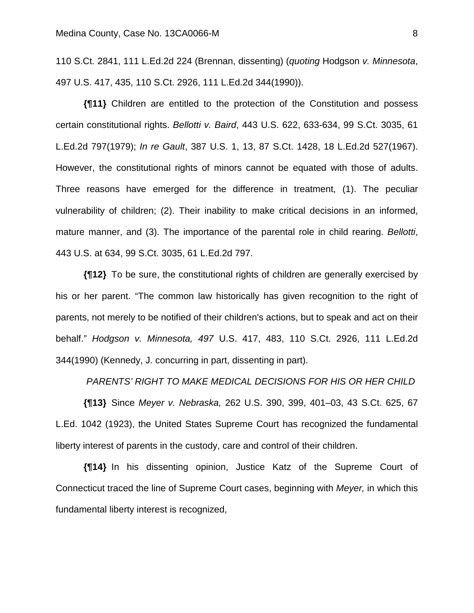110 S.Ct. 2841, 111 L.Ed.2d 224 (Brennan, dissenting) (*quoting* Hodgson *v. Minnesota*, 497 U.S. 417, 435, 110 S.Ct. 2926, 111 L.Ed.2d 344(1990)).

**{¶11}** Children are entitled to the protection of the Constitution and possess certain constitutional rights. *Bellotti v. Baird*, 443 U.S. 622, 633-634, 99 S.Ct. 3035, 61 L.Ed.2d 797(1979); *In re Gault*, 387 U.S. 1, 13, 87 S.Ct. 1428, 18 L.Ed.2d 527(1967). However, the constitutional rights of minors cannot be equated with those of adults. Three reasons have emerged for the difference in treatment, (1). The peculiar vulnerability of children; (2). Their inability to make critical decisions in an informed, mature manner, and (3). The importance of the parental role in child rearing. *Bellotti*, 443 U.S. at 634, 99 S.Ct. 3035, 61 L.Ed.2d 797.

**{¶12}** To be sure, the constitutional rights of children are generally exercised by his or her parent. "The common law historically has given recognition to the right of parents, not merely to be notified of their children's actions, but to speak and act on their behalf." *Hodgson v. Minnesota, 497* U.S. 417, 483, 110 S.Ct. 2926, 111 L.Ed.2d 344(1990) (Kennedy, J. concurring in part, dissenting in part).

### *PARENTS' RIGHT TO MAKE MEDICAL DECISIONS FOR HIS OR HER CHILD*

**{¶13}** Since *Meyer v. Nebraska,* 262 U.S. 390, 399, 401–03, 43 S.Ct. 625, 67 L.Ed. 1042 (1923), the United States Supreme Court has recognized the fundamental liberty interest of parents in the custody, care and control of their children.

**{¶14}** In his dissenting opinion, Justice Katz of the Supreme Court of Connecticut traced the line of Supreme Court cases, beginning with *Meyer,* in which this fundamental liberty interest is recognized,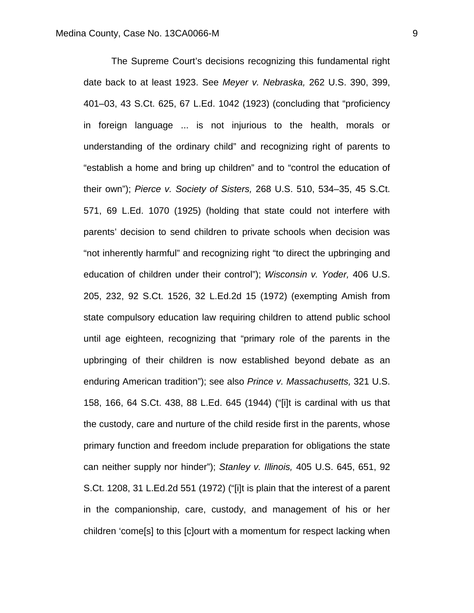The Supreme Court's decisions recognizing this fundamental right date back to at least 1923. See *Meyer v. Nebraska,* 262 U.S. 390, 399, 401–03, 43 S.Ct. 625, 67 L.Ed. 1042 (1923) (concluding that "proficiency in foreign language ... is not injurious to the health, morals or understanding of the ordinary child" and recognizing right of parents to "establish a home and bring up children" and to "control the education of their own"); *Pierce v. Society of Sisters,* 268 U.S. 510, 534–35, 45 S.Ct. 571, 69 L.Ed. 1070 (1925) (holding that state could not interfere with parents' decision to send children to private schools when decision was "not inherently harmful" and recognizing right "to direct the upbringing and education of children under their control"); *Wisconsin v. Yoder,* 406 U.S. 205, 232, 92 S.Ct. 1526, 32 L.Ed.2d 15 (1972) (exempting Amish from state compulsory education law requiring children to attend public school until age eighteen, recognizing that "primary role of the parents in the upbringing of their children is now established beyond debate as an enduring American tradition"); see also *Prince v. Massachusetts,* 321 U.S. 158, 166, 64 S.Ct. 438, 88 L.Ed. 645 (1944) ("[i]t is cardinal with us that the custody, care and nurture of the child reside first in the parents, whose primary function and freedom include preparation for obligations the state can neither supply nor hinder"); *Stanley v. Illinois,* 405 U.S. 645, 651, 92 S.Ct. 1208, 31 L.Ed.2d 551 (1972) ("[i]t is plain that the interest of a parent in the companionship, care, custody, and management of his or her children 'come[s] to this [c]ourt with a momentum for respect lacking when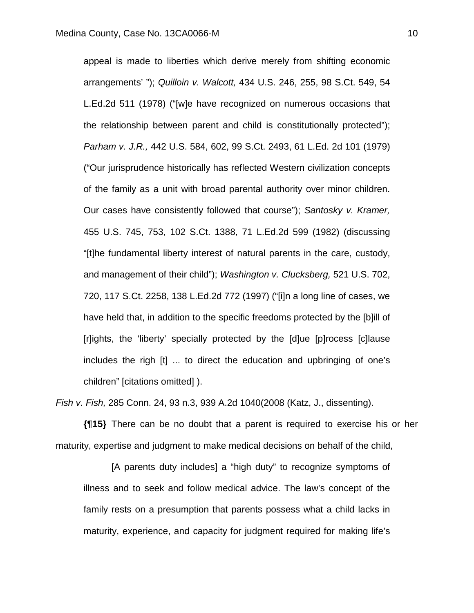appeal is made to liberties which derive merely from shifting economic arrangements' "); *Quilloin v. Walcott,* 434 U.S. 246, 255, 98 S.Ct. 549, 54 L.Ed.2d 511 (1978) ("[w]e have recognized on numerous occasions that the relationship between parent and child is constitutionally protected"); *Parham v. J.R.,* 442 U.S. 584, 602, 99 S.Ct. 2493, 61 L.Ed. 2d 101 (1979) ("Our jurisprudence historically has reflected Western civilization concepts of the family as a unit with broad parental authority over minor children. Our cases have consistently followed that course"); *Santosky v. Kramer,* 455 U.S. 745, 753, 102 S.Ct. 1388, 71 L.Ed.2d 599 (1982) (discussing "[t]he fundamental liberty interest of natural parents in the care, custody, and management of their child"); *Washington v. Clucksberg,* 521 U.S. 702, 720, 117 S.Ct. 2258, 138 L.Ed.2d 772 (1997) ("[i]n a long line of cases, we have held that, in addition to the specific freedoms protected by the [b]ill of [r]ights, the 'liberty' specially protected by the [d]ue [p]rocess [c]lause includes the righ [t] ... to direct the education and upbringing of one's children" [citations omitted] ).

*Fish v. Fish,* 285 Conn. 24, 93 n.3, 939 A.2d 1040(2008 (Katz, J., dissenting).

**{¶15}** There can be no doubt that a parent is required to exercise his or her maturity, expertise and judgment to make medical decisions on behalf of the child,

 [A parents duty includes] a "high duty" to recognize symptoms of illness and to seek and follow medical advice. The law's concept of the family rests on a presumption that parents possess what a child lacks in maturity, experience, and capacity for judgment required for making life's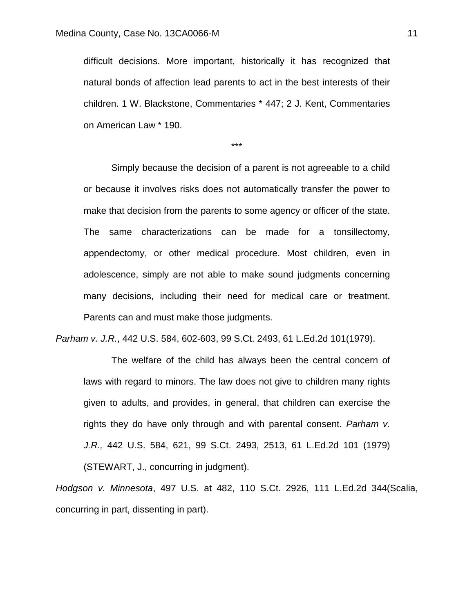difficult decisions. More important, historically it has recognized that natural bonds of affection lead parents to act in the best interests of their children. 1 W. Blackstone, Commentaries \* 447; 2 J. Kent, Commentaries on American Law \* 190.

\*\*\*

 Simply because the decision of a parent is not agreeable to a child or because it involves risks does not automatically transfer the power to make that decision from the parents to some agency or officer of the state. The same characterizations can be made for a tonsillectomy, appendectomy, or other medical procedure. Most children, even in adolescence, simply are not able to make sound judgments concerning many decisions, including their need for medical care or treatment. Parents can and must make those judgments.

*Parham v. J.R.*, 442 U.S. 584, 602-603, 99 S.Ct. 2493, 61 L.Ed.2d 101(1979).

 The welfare of the child has always been the central concern of laws with regard to minors. The law does not give to children many rights given to adults, and provides, in general, that children can exercise the rights they do have only through and with parental consent. *Parham v. J.R.,* 442 U.S. 584, 621, 99 S.Ct. 2493, 2513, 61 L.Ed.2d 101 (1979) (STEWART, J., concurring in judgment).

*Hodgson v. Minnesota*, 497 U.S. at 482, 110 S.Ct. 2926, 111 L.Ed.2d 344(Scalia, concurring in part, dissenting in part).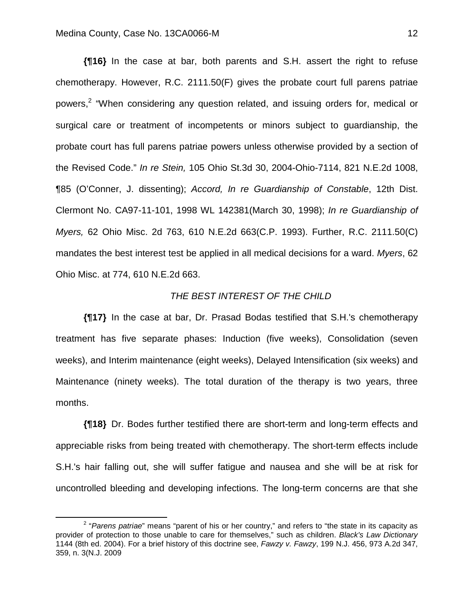**{¶16}** In the case at bar, both parents and S.H. assert the right to refuse chemotherapy. However, R.C. 2111.50(F) gives the probate court full parens patriae powers,<sup>2</sup> "When considering any question related, and issuing orders for, medical or surgical care or treatment of incompetents or minors subject to guardianship, the probate court has full parens patriae powers unless otherwise provided by a section of the Revised Code." *In re Stein,* 105 Ohio St.3d 30, 2004-Ohio-7114, 821 N.E.2d 1008, ¶85 (O'Conner, J. dissenting); *Accord, In re Guardianship of Constable*, 12th Dist. Clermont No. CA97-11-101, 1998 WL 142381(March 30, 1998); *In re Guardianship of Myers,* 62 Ohio Misc. 2d 763, 610 N.E.2d 663(C.P. 1993). Further, R.C. 2111.50(C) mandates the best interest test be applied in all medical decisions for a ward. *Myers*, 62 Ohio Misc. at 774, 610 N.E.2d 663.

## *THE BEST INTEREST OF THE CHILD*

**{¶17}** In the case at bar, Dr. Prasad Bodas testified that S.H.'s chemotherapy treatment has five separate phases: Induction (five weeks), Consolidation (seven weeks), and Interim maintenance (eight weeks), Delayed Intensification (six weeks) and Maintenance (ninety weeks). The total duration of the therapy is two years, three months.

**{¶18}** Dr. Bodes further testified there are short-term and long-term effects and appreciable risks from being treated with chemotherapy. The short-term effects include S.H.'s hair falling out, she will suffer fatigue and nausea and she will be at risk for uncontrolled bleeding and developing infections. The long-term concerns are that she

 $\overline{\phantom{a}}$ <sup>2</sup> "Parens patriae" means "parent of his or her country," and refers to "the state in its capacity as provider of protection to those unable to care for themselves," such as children. *Black's Law Dictionary* 1144 (8th ed. 2004). For a brief history of this doctrine see, *Fawzy v. Fawzy*, 199 N.J. 456, 973 A.2d 347, 359, n. 3(N.J. 2009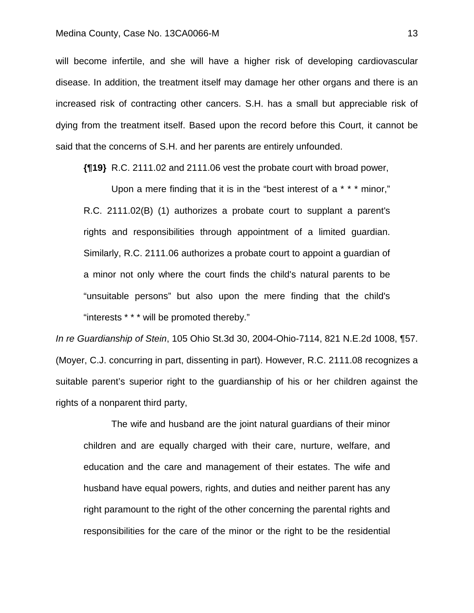#### Medina County, Case No. 13CA0066-M 13

will become infertile, and she will have a higher risk of developing cardiovascular disease. In addition, the treatment itself may damage her other organs and there is an increased risk of contracting other cancers. S.H. has a small but appreciable risk of dying from the treatment itself. Based upon the record before this Court, it cannot be said that the concerns of S.H. and her parents are entirely unfounded.

**{¶19}** R.C. 2111.02 and 2111.06 vest the probate court with broad power,

 Upon a mere finding that it is in the "best interest of a \* \* \* minor," R.C. 2111.02(B) (1) authorizes a probate court to supplant a parent's rights and responsibilities through appointment of a limited guardian. Similarly, R.C. 2111.06 authorizes a probate court to appoint a guardian of a minor not only where the court finds the child's natural parents to be "unsuitable persons" but also upon the mere finding that the child's "interests \* \* \* will be promoted thereby."

*In re Guardianship of Stein*, 105 Ohio St.3d 30, 2004-Ohio-7114, 821 N.E.2d 1008, ¶57. (Moyer, C.J. concurring in part, dissenting in part). However, R.C. 2111.08 recognizes a suitable parent's superior right to the guardianship of his or her children against the rights of a nonparent third party,

 The wife and husband are the joint natural guardians of their minor children and are equally charged with their care, nurture, welfare, and education and the care and management of their estates. The wife and husband have equal powers, rights, and duties and neither parent has any right paramount to the right of the other concerning the parental rights and responsibilities for the care of the minor or the right to be the residential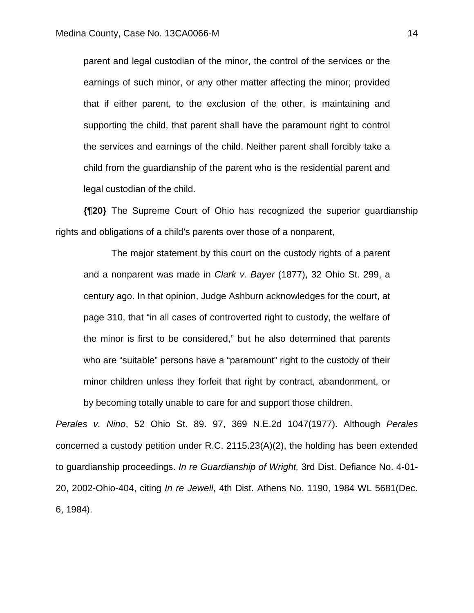parent and legal custodian of the minor, the control of the services or the earnings of such minor, or any other matter affecting the minor; provided that if either parent, to the exclusion of the other, is maintaining and supporting the child, that parent shall have the paramount right to control the services and earnings of the child. Neither parent shall forcibly take a child from the guardianship of the parent who is the residential parent and legal custodian of the child.

**{¶20}** The Supreme Court of Ohio has recognized the superior guardianship rights and obligations of a child's parents over those of a nonparent,

 The major statement by this court on the custody rights of a parent and a nonparent was made in *Clark v. Bayer* (1877), 32 Ohio St. 299, a century ago. In that opinion, Judge Ashburn acknowledges for the court, at page 310, that "in all cases of controverted right to custody, the welfare of the minor is first to be considered," but he also determined that parents who are "suitable" persons have a "paramount" right to the custody of their minor children unless they forfeit that right by contract, abandonment, or by becoming totally unable to care for and support those children.

*Perales v. Nino*, 52 Ohio St. 89. 97, 369 N.E.2d 1047(1977). Although *Perales* concerned a custody petition under R.C. 2115.23(A)(2), the holding has been extended to guardianship proceedings. *In re Guardianship of Wright,* 3rd Dist. Defiance No. 4-01- 20, 2002-Ohio-404, citing *In re Jewell*, 4th Dist. Athens No. 1190, 1984 WL 5681(Dec. 6, 1984).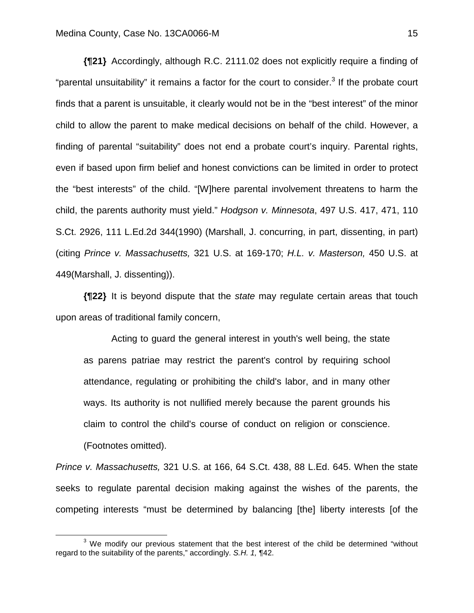**{¶21}** Accordingly, although R.C. 2111.02 does not explicitly require a finding of "parental unsuitability" it remains a factor for the court to consider.<sup>3</sup> If the probate court finds that a parent is unsuitable, it clearly would not be in the "best interest" of the minor child to allow the parent to make medical decisions on behalf of the child. However, a finding of parental "suitability" does not end a probate court's inquiry. Parental rights, even if based upon firm belief and honest convictions can be limited in order to protect the "best interests" of the child. "[W]here parental involvement threatens to harm the child, the parents authority must yield." *Hodgson v. Minnesota*, 497 U.S. 417, 471, 110 S.Ct. 2926, 111 L.Ed.2d 344(1990) (Marshall, J. concurring, in part, dissenting, in part) (citing *Prince v. Massachusetts,* 321 U.S. at 169-170; *H.L. v. Masterson,* 450 U.S. at 449(Marshall, J. dissenting)).

**{¶22}** It is beyond dispute that the *state* may regulate certain areas that touch upon areas of traditional family concern,

 Acting to guard the general interest in youth's well being, the state as parens patriae may restrict the parent's control by requiring school attendance, regulating or prohibiting the child's labor, and in many other ways. Its authority is not nullified merely because the parent grounds his claim to control the child's course of conduct on religion or conscience. (Footnotes omitted).

*Prince v. Massachusetts,* 321 U.S. at 166, 64 S.Ct. 438, 88 L.Ed. 645. When the state seeks to regulate parental decision making against the wishes of the parents, the competing interests "must be determined by balancing [the] liberty interests [of the

 $\frac{1}{3}$ <sup>3</sup> We modify our previous statement that the best interest of the child be determined "without regard to the suitability of the parents," accordingly. *S.H. 1,* ¶42.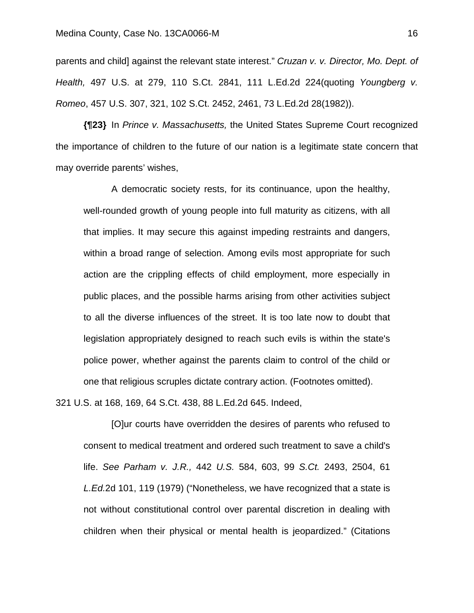parents and child] against the relevant state interest." *Cruzan v. v. Director, Mo. Dept. of Health,* 497 U.S. at 279, 110 S.Ct. 2841, 111 L.Ed.2d 224(quoting *Youngberg v. Romeo*, 457 U.S. 307, 321, 102 S.Ct. 2452, 2461, 73 L.Ed.2d 28(1982)).

**{¶23}** In *Prince v. Massachusetts,* the United States Supreme Court recognized the importance of children to the future of our nation is a legitimate state concern that may override parents' wishes,

 A democratic society rests, for its continuance, upon the healthy, well-rounded growth of young people into full maturity as citizens, with all that implies. It may secure this against impeding restraints and dangers, within a broad range of selection. Among evils most appropriate for such action are the crippling effects of child employment, more especially in public places, and the possible harms arising from other activities subject to all the diverse influences of the street. It is too late now to doubt that legislation appropriately designed to reach such evils is within the state's police power, whether against the parents claim to control of the child or one that religious scruples dictate contrary action. (Footnotes omitted).

321 U.S. at 168, 169, 64 S.Ct. 438, 88 L.Ed.2d 645. Indeed,

 [O]ur courts have overridden the desires of parents who refused to consent to medical treatment and ordered such treatment to save a child's life. *See Parham v. J.R.,* 442 *U.S.* 584, 603, 99 *S.Ct.* 2493, 2504, 61 *L.Ed.*2d 101, 119 (1979) ("Nonetheless, we have recognized that a state is not without constitutional control over parental discretion in dealing with children when their physical or mental health is jeopardized." (Citations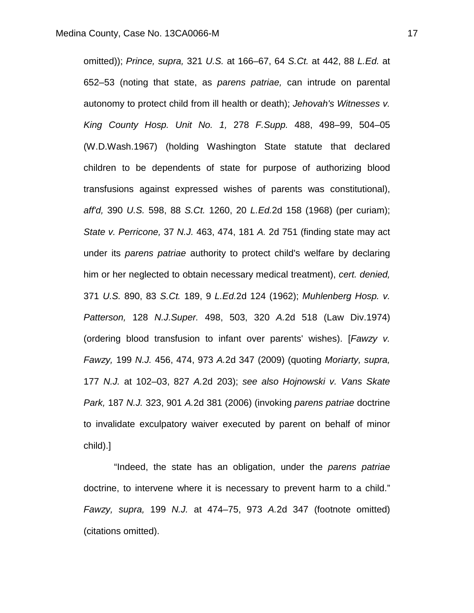omitted)); *Prince, supra,* 321 *U.S.* at 166–67, 64 *S.Ct.* at 442, 88 *L.Ed.* at 652–53 (noting that state, as *parens patriae,* can intrude on parental autonomy to protect child from ill health or death); *Jehovah's Witnesses v. King County Hosp. Unit No. 1,* 278 *F.Supp.* 488, 498–99, 504–05 (W.D.Wash.1967) (holding Washington State statute that declared children to be dependents of state for purpose of authorizing blood transfusions against expressed wishes of parents was constitutional), *aff'd,* 390 *U.S.* 598, 88 *S.Ct.* 1260, 20 *L.Ed.*2d 158 (1968) (per curiam); *State v. Perricone,* 37 *N.J.* 463, 474, 181 *A.* 2d 751 (finding state may act under its *parens patriae* authority to protect child's welfare by declaring him or her neglected to obtain necessary medical treatment), *cert. denied,* 371 *U.S.* 890, 83 *S.Ct.* 189, 9 *L.Ed.*2d 124 (1962); *Muhlenberg Hosp. v. Patterson,* 128 *N.J.Super.* 498, 503, 320 *A.*2d 518 (Law Div.1974) (ordering blood transfusion to infant over parents' wishes). [*Fawzy v. Fawzy,* 199 *N.J.* 456, 474, 973 *A.*2d 347 (2009) (quoting *Moriarty, supra,* 177 *N.J.* at 102–03, 827 *A.*2d 203); *see also Hojnowski v. Vans Skate Park,* 187 *N.J.* 323, 901 *A.*2d 381 (2006) (invoking *parens patriae* doctrine to invalidate exculpatory waiver executed by parent on behalf of minor child).]

 "Indeed, the state has an obligation, under the *parens patriae* doctrine, to intervene where it is necessary to prevent harm to a child." *Fawzy, supra,* 199 *N.J.* at 474–75, 973 *A.*2d 347 (footnote omitted) (citations omitted).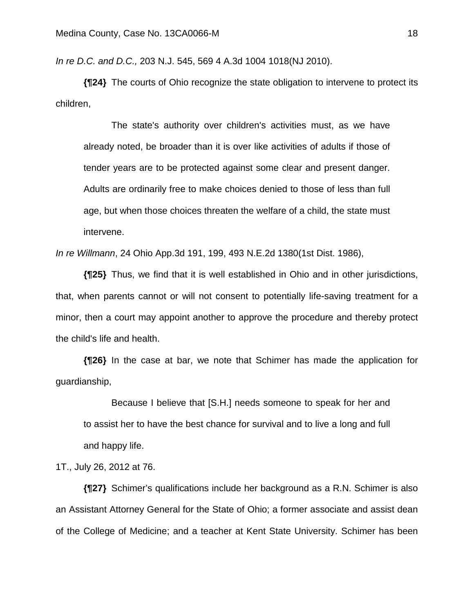*In re D.C. and D.C.,* 203 N.J. 545, 569 4 A.3d 1004 1018(NJ 2010).

**{¶24}** The courts of Ohio recognize the state obligation to intervene to protect its children,

 The state's authority over children's activities must, as we have already noted, be broader than it is over like activities of adults if those of tender years are to be protected against some clear and present danger. Adults are ordinarily free to make choices denied to those of less than full age, but when those choices threaten the welfare of a child, the state must intervene.

*In re Willmann*, 24 Ohio App.3d 191, 199, 493 N.E.2d 1380(1st Dist. 1986),

**{¶25}** Thus, we find that it is well established in Ohio and in other jurisdictions, that, when parents cannot or will not consent to potentially life-saving treatment for a minor, then a court may appoint another to approve the procedure and thereby protect the child's life and health.

**{¶26}** In the case at bar, we note that Schimer has made the application for guardianship,

 Because I believe that [S.H.] needs someone to speak for her and to assist her to have the best chance for survival and to live a long and full and happy life.

1T., July 26, 2012 at 76.

**{¶27}** Schimer's qualifications include her background as a R.N. Schimer is also an Assistant Attorney General for the State of Ohio; a former associate and assist dean of the College of Medicine; and a teacher at Kent State University. Schimer has been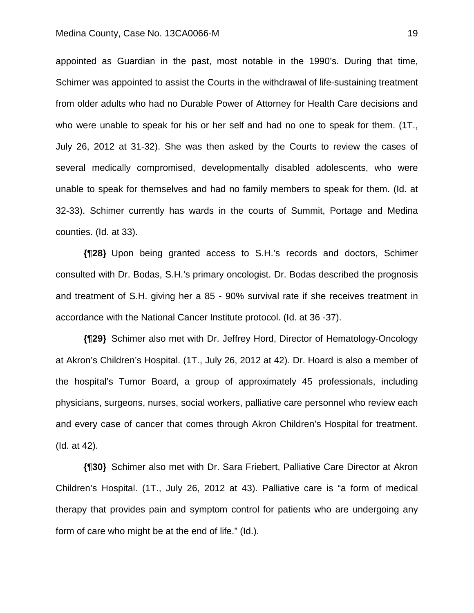#### Medina County, Case No. 13CA0066-M 19

appointed as Guardian in the past, most notable in the 1990's. During that time, Schimer was appointed to assist the Courts in the withdrawal of life-sustaining treatment from older adults who had no Durable Power of Attorney for Health Care decisions and who were unable to speak for his or her self and had no one to speak for them. (1T., July 26, 2012 at 31-32). She was then asked by the Courts to review the cases of several medically compromised, developmentally disabled adolescents, who were unable to speak for themselves and had no family members to speak for them. (Id. at 32-33). Schimer currently has wards in the courts of Summit, Portage and Medina counties. (Id. at 33).

**{¶28}** Upon being granted access to S.H.'s records and doctors, Schimer consulted with Dr. Bodas, S.H.'s primary oncologist. Dr. Bodas described the prognosis and treatment of S.H. giving her a 85 - 90% survival rate if she receives treatment in accordance with the National Cancer Institute protocol. (Id. at 36 -37).

**{¶29}** Schimer also met with Dr. Jeffrey Hord, Director of Hematology-Oncology at Akron's Children's Hospital. (1T., July 26, 2012 at 42). Dr. Hoard is also a member of the hospital's Tumor Board, a group of approximately 45 professionals, including physicians, surgeons, nurses, social workers, palliative care personnel who review each and every case of cancer that comes through Akron Children's Hospital for treatment. (Id. at 42).

**{¶30}** Schimer also met with Dr. Sara Friebert, Palliative Care Director at Akron Children's Hospital. (1T., July 26, 2012 at 43). Palliative care is "a form of medical therapy that provides pain and symptom control for patients who are undergoing any form of care who might be at the end of life." (Id.).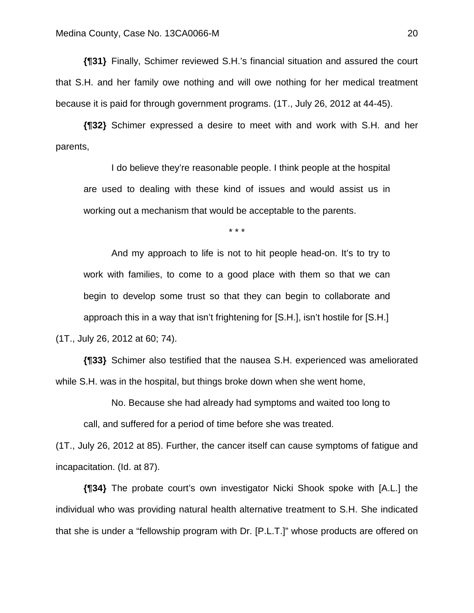**{¶31}** Finally, Schimer reviewed S.H.'s financial situation and assured the court that S.H. and her family owe nothing and will owe nothing for her medical treatment because it is paid for through government programs. (1T., July 26, 2012 at 44-45).

**{¶32}** Schimer expressed a desire to meet with and work with S.H. and her parents,

 I do believe they're reasonable people. I think people at the hospital are used to dealing with these kind of issues and would assist us in working out a mechanism that would be acceptable to the parents.

\* \* \*

 And my approach to life is not to hit people head-on. It's to try to work with families, to come to a good place with them so that we can begin to develop some trust so that they can begin to collaborate and approach this in a way that isn't frightening for [S.H.], isn't hostile for [S.H.] (1T., July 26, 2012 at 60; 74).

**{¶33}** Schimer also testified that the nausea S.H. experienced was ameliorated while S.H. was in the hospital, but things broke down when she went home,

No. Because she had already had symptoms and waited too long to

call, and suffered for a period of time before she was treated.

(1T., July 26, 2012 at 85). Further, the cancer itself can cause symptoms of fatigue and incapacitation. (Id. at 87).

**{¶34}** The probate court's own investigator Nicki Shook spoke with [A.L.] the individual who was providing natural health alternative treatment to S.H. She indicated that she is under a "fellowship program with Dr. [P.L.T.]" whose products are offered on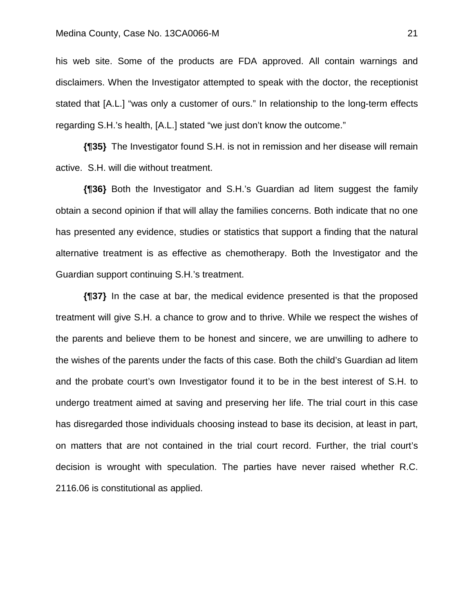# Medina County, Case No. 13CA0066-M 21

his web site. Some of the products are FDA approved. All contain warnings and disclaimers. When the Investigator attempted to speak with the doctor, the receptionist stated that [A.L.] "was only a customer of ours." In relationship to the long-term effects regarding S.H.'s health, [A.L.] stated "we just don't know the outcome."

**{¶35}** The Investigator found S.H. is not in remission and her disease will remain active. S.H. will die without treatment.

**{¶36}** Both the Investigator and S.H.'s Guardian ad litem suggest the family obtain a second opinion if that will allay the families concerns. Both indicate that no one has presented any evidence, studies or statistics that support a finding that the natural alternative treatment is as effective as chemotherapy. Both the Investigator and the Guardian support continuing S.H.'s treatment.

**{¶37}** In the case at bar, the medical evidence presented is that the proposed treatment will give S.H. a chance to grow and to thrive. While we respect the wishes of the parents and believe them to be honest and sincere, we are unwilling to adhere to the wishes of the parents under the facts of this case. Both the child's Guardian ad litem and the probate court's own Investigator found it to be in the best interest of S.H. to undergo treatment aimed at saving and preserving her life. The trial court in this case has disregarded those individuals choosing instead to base its decision, at least in part, on matters that are not contained in the trial court record. Further, the trial court's decision is wrought with speculation. The parties have never raised whether R.C. 2116.06 is constitutional as applied.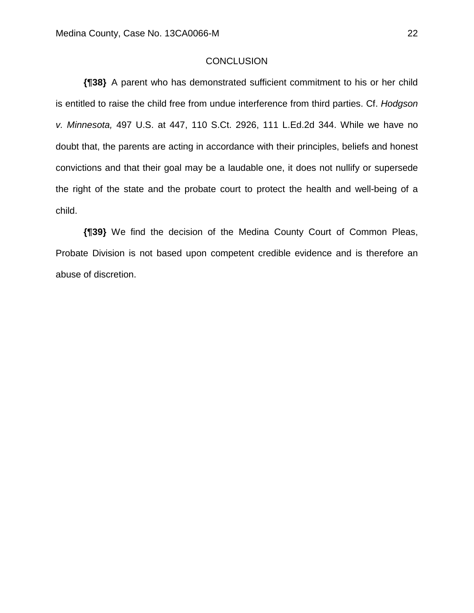### **CONCLUSION**

**{¶38}** A parent who has demonstrated sufficient commitment to his or her child is entitled to raise the child free from undue interference from third parties. Cf. *Hodgson v. Minnesota,* 497 U.S. at 447, 110 S.Ct. 2926, 111 L.Ed.2d 344. While we have no doubt that, the parents are acting in accordance with their principles, beliefs and honest convictions and that their goal may be a laudable one, it does not nullify or supersede the right of the state and the probate court to protect the health and well-being of a child.

**{¶39}** We find the decision of the Medina County Court of Common Pleas, Probate Division is not based upon competent credible evidence and is therefore an abuse of discretion.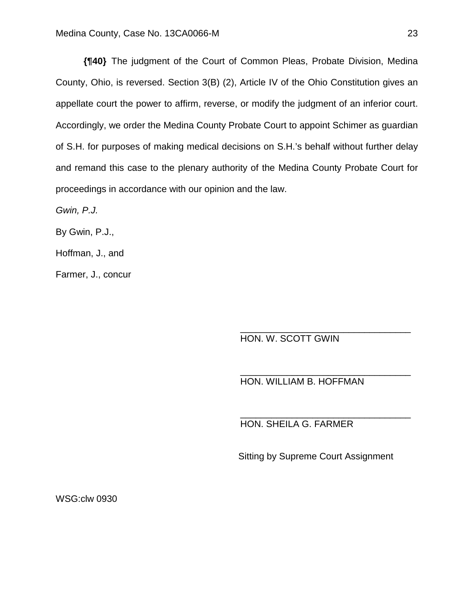**{¶40}** The judgment of the Court of Common Pleas, Probate Division, Medina County, Ohio, is reversed. Section 3(B) (2), Article IV of the Ohio Constitution gives an appellate court the power to affirm, reverse, or modify the judgment of an inferior court. Accordingly, we order the Medina County Probate Court to appoint Schimer as guardian of S.H. for purposes of making medical decisions on S.H.'s behalf without further delay and remand this case to the plenary authority of the Medina County Probate Court for proceedings in accordance with our opinion and the law.

 $\overline{\phantom{a}}$  , and the contract of the contract of the contract of the contract of the contract of the contract of the contract of the contract of the contract of the contract of the contract of the contract of the contrac

 $\overline{\phantom{a}}$  , and the contract of the contract of the contract of the contract of the contract of the contract of the contract of the contract of the contract of the contract of the contract of the contract of the contrac

 $\overline{\phantom{a}}$  , and the contract of the contract of the contract of the contract of the contract of the contract of the contract of the contract of the contract of the contract of the contract of the contract of the contrac

*Gwin, P.J.* 

By Gwin, P.J.,

Hoffman, J., and

Farmer, J., concur

HON. W. SCOTT GWIN

HON. WILLIAM B. HOFFMAN

HON. SHEILA G. FARMER

Sitting by Supreme Court Assignment

WSG:clw 0930